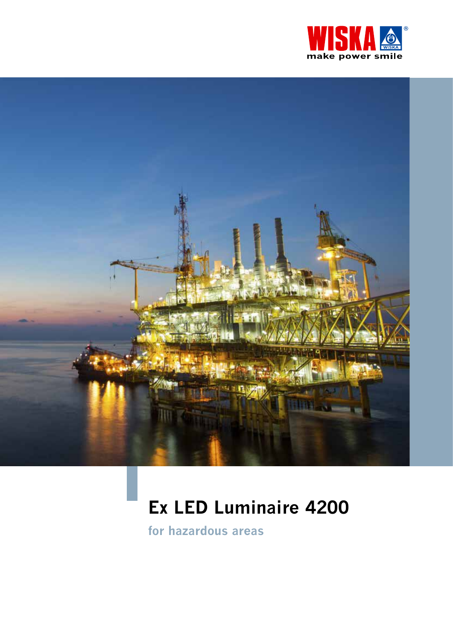



# Ex LED Luminaire 4200

for hazardous areas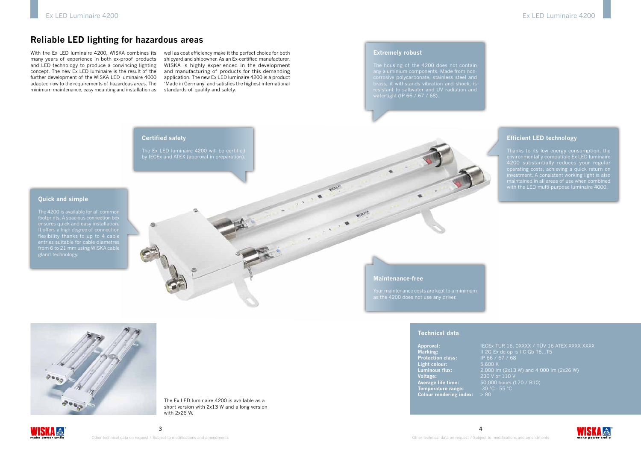The Ex LED luminaire 4200 is available as a short version with 2x13 W and a long version with 2x26 W.

# WISK! **A**

## **Reliable LED lighting for hazardous areas**





#### **Extremely robust**

The housing of the 4200 does not contain any aluminium components. Made from noncorrosive polycarbonate, stainless steel and brass, it withstands vibration and shock, is watertight (IP 66 / 67 / 68).

### **Efficient LED technology**

Thanks to its low energy consumption, the environmentally compatible Ex LED luminaire 4200 substantially reduces your regular operating costs, achieving a quick return on investment. A consistent working light is also with the LED multi-purpose luminaire 4000.

**Approval:** IECEx TUR 16. 0XXXX / TÜV 16 ATEX XXXX XXXX **Marking:** II 2G Ex de op is IIC Gb T6...T5 **Protection class:** IP 66 / 67 / 68 **Light colour:** 5,600 K **Luminous flux:** 2,000 lm (2x13 W) and 4,000 lm (2x26 W) **Voltage:** 230 V or 110 V **Average life time:** 50,000 hours (L70 / B10) **Temperature range:**  $-30$  °C  $-55$  °C **Colour rendering index:** > 80



With the Ex LED luminaire 4200, WISKA combines its many years of experience in both ex-proof products and LED technology to produce a convincing lighting concept. The new Ex LED luminaire is the result of the further development of the WISKA LED luminaire 4000 adapted now to the requirements of hazardous areas. The minimum maintenance, easy mounting and installation as

well as cost efficiency make it the perfect choice for both shipyard and shipowner. As an Ex-certified manufacturer, WISKA is highly experienced in the development and manufacturing of products for this demanding application. The new Ex LED luminaire 4200 is a product 'Made in Germany' and satisfies the highest international standards of quality and safety.

**Technical data**

### Ex LED Luminaire 4200 Ex LED Luminaire 4200